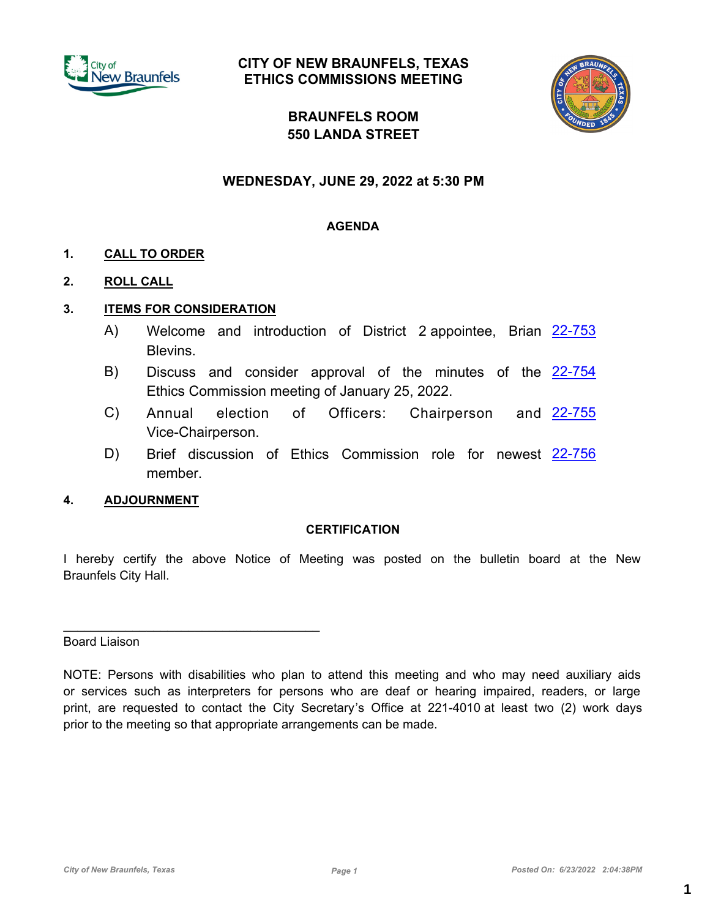

### **CITY OF NEW BRAUNFELS, TEXAS ETHICS COMMISSIONS MEETING**



## **BRAUNFELS ROOM 550 LANDA STREET**

### **WEDNESDAY, JUNE 29, 2022 at 5:30 PM**

### **AGENDA**

### **1. CALL TO ORDER**

### **2. ROLL CALL**

#### **3. ITEMS FOR CONSIDERATION**

- A) Welcome and introduction of District 2 appointee, Brian <u>[22-753](http://newbraunfels.legistar.com/gateway.aspx?m=l&id=/matter.aspx?key=10768)</u> **Blevins**.
- B) Discuss and consider approval of the minutes of the [22-754](http://newbraunfels.legistar.com/gateway.aspx?m=l&id=/matter.aspx?key=10769) Ethics Commission meeting of January 25, 2022.
- C) Annual election of Officers: Chairperson and <u>[22-755](http://newbraunfels.legistar.com/gateway.aspx?m=l&id=/matter.aspx?key=10770)</u> Vice-Chairperson.
- D) Brief discussion of Ethics Commission role for newest [22-756](http://newbraunfels.legistar.com/gateway.aspx?m=l&id=/matter.aspx?key=10771) member.

#### **4. ADJOURNMENT**

 $\mathcal{L}_\text{max}$  and  $\mathcal{L}_\text{max}$  and  $\mathcal{L}_\text{max}$  and  $\mathcal{L}_\text{max}$ 

#### **CERTIFICATION**

I hereby certify the above Notice of Meeting was posted on the bulletin board at the New Braunfels City Hall.

#### Board Liaison

NOTE: Persons with disabilities who plan to attend this meeting and who may need auxiliary aids or services such as interpreters for persons who are deaf or hearing impaired, readers, or large print, are requested to contact the City Secretary's Office at 221-4010 at least two (2) work days prior to the meeting so that appropriate arrangements can be made.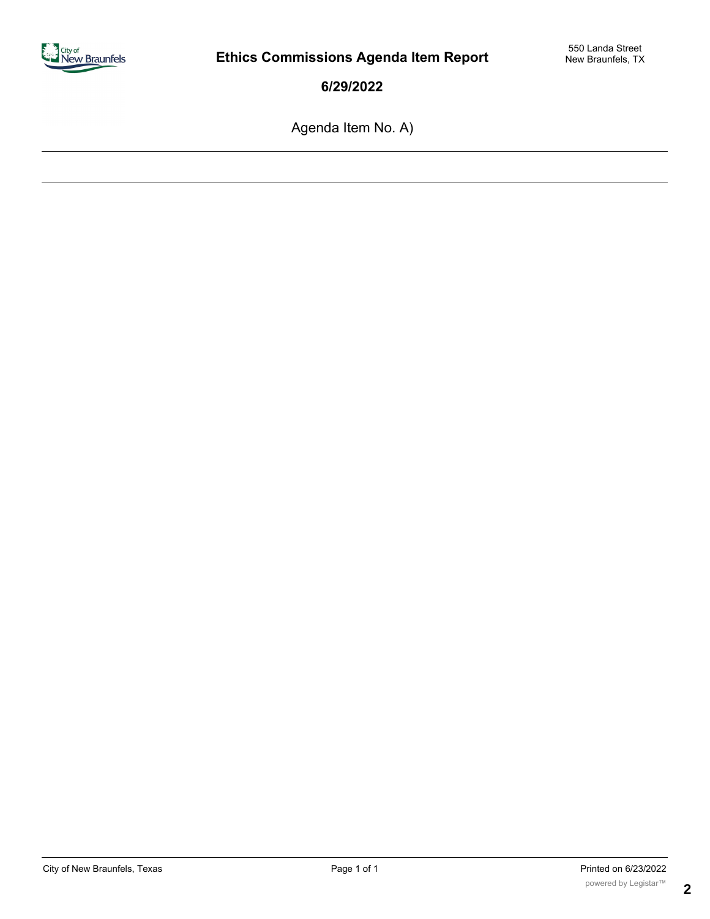

Agenda Item No. A)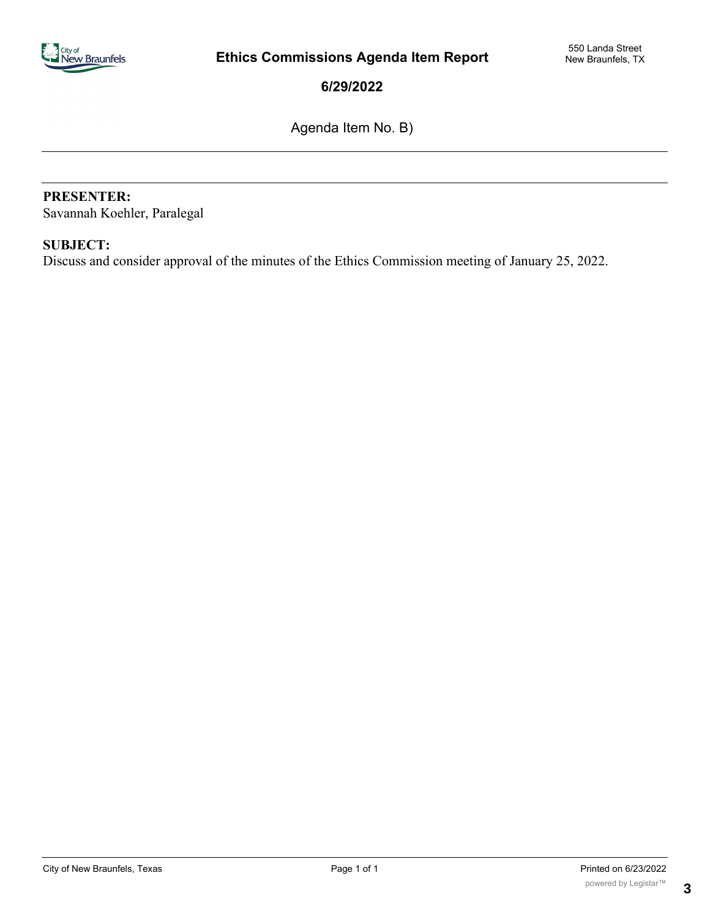

Agenda Item No. B)

PRESENTER: Savannah Koehler, Paralegal

### **SUBJECT:**

Discuss and consider approval of the minutes of the Ethics Commission meeting of January 25, 2022.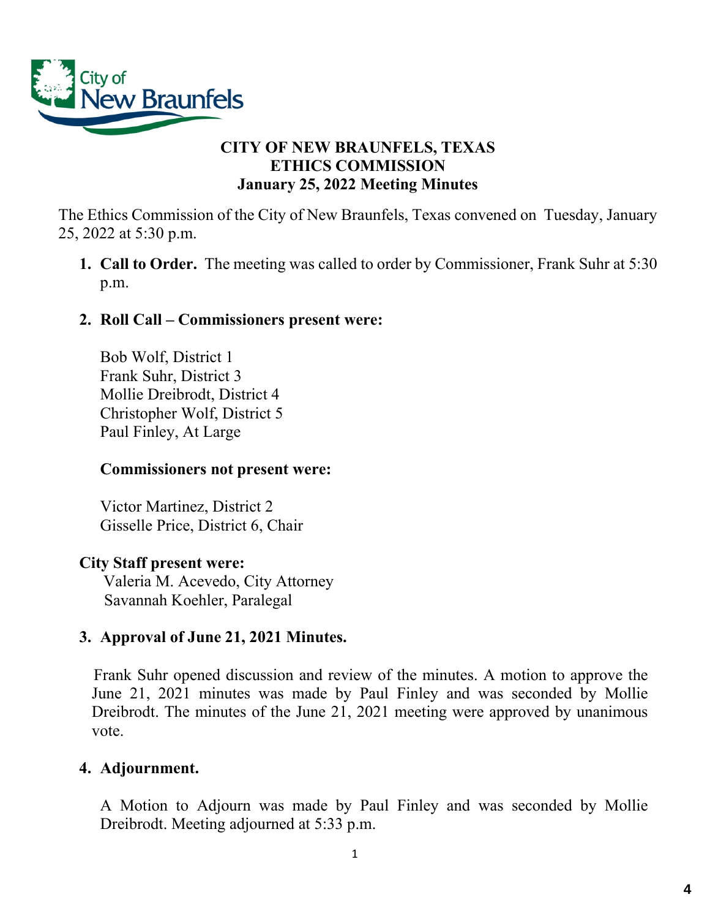

# **CITY OF NEW BRAUNFELS, TEXAS ETHICS COMMISSION January 25, 2022 Meeting Minutes**

The Ethics Commission of the City of New Braunfels, Texas convened on Tuesday, January 25, 2022 at 5:30 p.m.

**1. Call to Order.** The meeting was called to order by Commissioner, Frank Suhr at 5:30 p.m.

## **2. Roll Call – Commissioners present were:**

Bob Wolf, District 1 Frank Suhr, District 3 Mollie Dreibrodt, District 4 Christopher Wolf, District 5 Paul Finley, At Large

## **Commissioners not present were:**

Victor Martinez, District 2 Gisselle Price, District 6, Chair

## **City Staff present were:**

 Valeria M. Acevedo, City Attorney Savannah Koehler, Paralegal

## **3. Approval of June 21, 2021 Minutes.**

Frank Suhr opened discussion and review of the minutes. A motion to approve the June 21, 2021 minutes was made by Paul Finley and was seconded by Mollie Dreibrodt. The minutes of the June 21, 2021 meeting were approved by unanimous vote.

## **4. Adjournment.**

A Motion to Adjourn was made by Paul Finley and was seconded by Mollie Dreibrodt. Meeting adjourned at 5:33 p.m.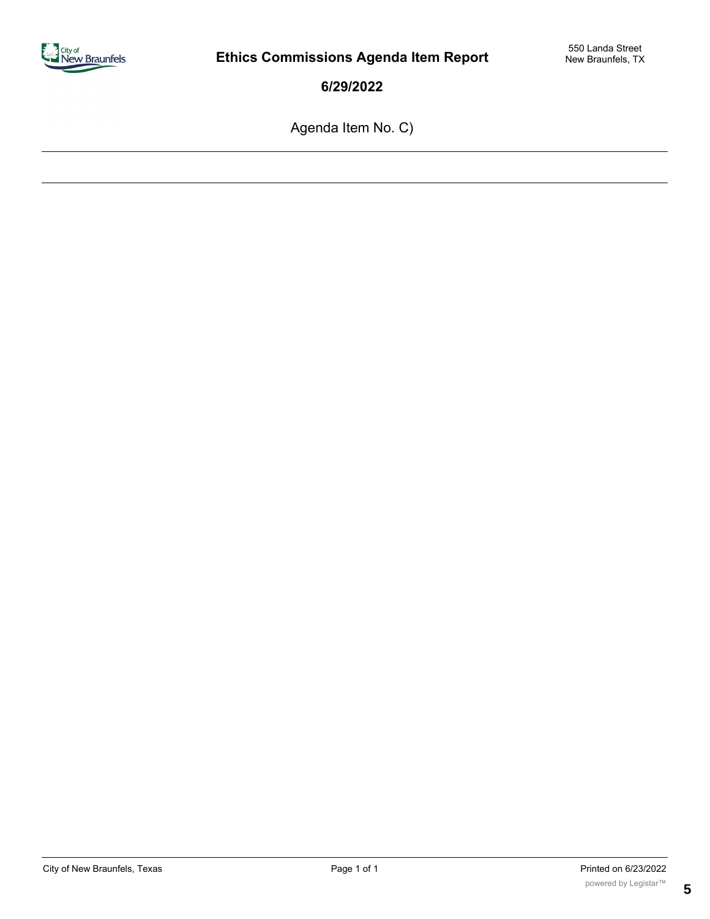

Agenda Item No. C)